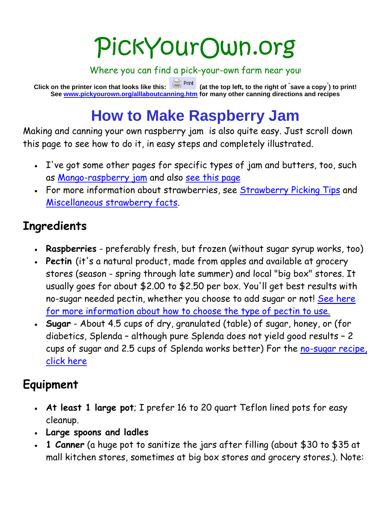## PickYourOwn.org

Where you can find a pick-your-own farm near you!

**Click on the printer icon that looks like this: (at the top left, to the right of " save a copy" ) to print! See [www.pickyourown.org/alllaboutcanning.htm](http://www.pickyourown.org/alllaboutcanning.htm) for many other canning directions and recipes**

## **How to Make Raspberry Jam**

Making and canning your own raspberry jam is also quite easy. Just scroll down this page to see how to do it, in easy steps and completely illustrated.

- I've got some other pages for specific types of jam and butters, too, such as [Mango-raspberry jam](http://www.pickyourown.org/mangoraspberryjam.htm) and also [see this page](http://www.pickyourown.org/allaboutcanning.htm#Jams)
- For more information about strawberries, see [Strawberry Picking Tips](http://www.pickyourown.org/strawberries.htm) and [Miscellaneous strawberry facts.](http://www.pickyourown.org/strawberryfacts.htm)

### **Ingredients**

- **Raspberries** preferably fresh, but frozen (without sugar syrup works, too)
- **Pectin** (it's a natural product, made from apples and available at grocery stores (season - spring through late summer) and local "big box" stores. It usually goes for about \$2.00 to \$2.50 per box. You'll get best results with no-sugar needed pectin, whether you choose to add sugar or not! [See here](http://www.pickyourown.org/pectin.htm)  [for more information about how to choose the type of pectin to use.](http://www.pickyourown.org/pectin.htm)
- **Sugar** About 4.5 cups of dry, granulated (table) of sugar, honey, or (for diabetics, Splenda – although pure Splenda does not yield good results – 2 cups of sugar and 2.5 cups of Splenda works better) For the [no-sugar recipe,](http://www.pickyourown.org/jamnosugar.htm)  [click here](http://www.pickyourown.org/jamnosugar.htm)

## **Equipment**

- **At least 1 large pot**; I prefer 16 to 20 quart Teflon lined pots for easy cleanup.
- **Large spoons and ladles**
- **1 Canner** (a huge pot to sanitize the jars after filling (about \$30 to \$35 at mall kitchen stores, sometimes at big box stores and grocery stores.). Note: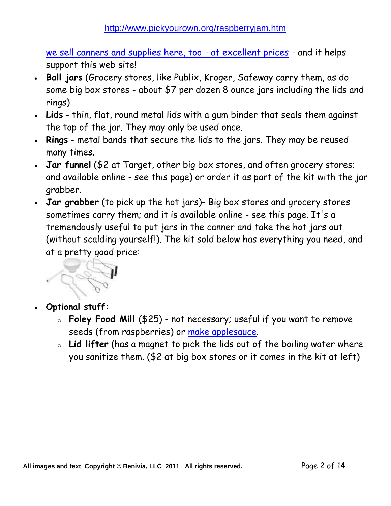[we sell canners and supplies here, too -](http://www.pickyourown.org/canningsupplies.htm) at excellent prices - and it helps support this web site!

- **Ball jars** (Grocery stores, like Publix, Kroger, Safeway carry them, as do some big box stores - about \$7 per dozen 8 ounce jars including the lids and rings)
- **Lids** thin, flat, round metal lids with a gum binder that seals them against the top of the jar. They may only be used once.
- **Rings** metal bands that secure the lids to the jars. They may be reused many times.
- **Jar funnel** (\$2 at Target, other big box stores, and often grocery stores; and available online - see this page) or order it as part of the kit with the jar grabber.
- **Jar grabber** (to pick up the hot jars)- Big box stores and grocery stores sometimes carry them; and it is available online - see this page. It's a tremendously useful to put jars in the canner and take the hot jars out (without scalding yourself!). The kit sold below has everything you need, and at a pretty good price:



- **Optional stuff:** 
	- o **Foley Food Mill** (\$25) not necessary; useful if you want to remove seeds (from raspberries) or [make applesauce.](http://www.pickyourown.org/applesauce.htm)
	- o **Lid lifter** (has a magnet to pick the lids out of the boiling water where you sanitize them. (\$2 at big box stores or it comes in the kit at left)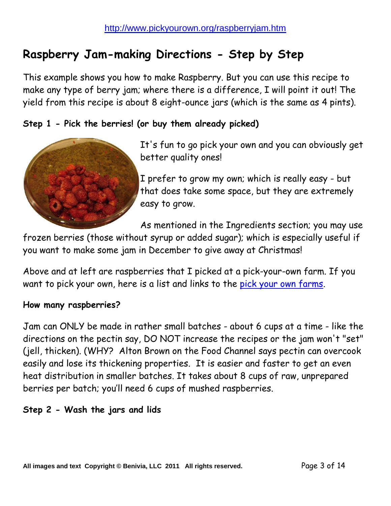## **Raspberry Jam-making Directions - Step by Step**

This example shows you how to make Raspberry. But you can use this recipe to make any type of berry jam; where there is a difference, I will point it out! The yield from this recipe is about 8 eight-ounce jars (which is the same as 4 pints).

#### **Step 1 - Pick the berries! (or buy them already picked)**



It's fun to go pick your own and you can obviously get better quality ones!

I prefer to grow my own; which is really easy - but that does take some space, but they are extremely easy to grow.

As mentioned in the Ingredients section; you may use

frozen berries (those without syrup or added sugar); which is especially useful if you want to make some jam in December to give away at Christmas!

Above and at left are raspberries that I picked at a pick-your-own farm. If you want to pick your own, here is a list and links to the [pick your own farms.](http://www.pickyourown.org/index.htm)

#### **How many raspberries?**

Jam can ONLY be made in rather small batches - about 6 cups at a time - like the directions on the pectin say, DO NOT increase the recipes or the jam won't "set" (jell, thicken). (WHY? Alton Brown on the Food Channel says pectin can overcook easily and lose its thickening properties. It is easier and faster to get an even heat distribution in smaller batches. It takes about 8 cups of raw, unprepared berries per batch; you'll need 6 cups of mushed raspberries.

#### **Step 2 - Wash the jars and lids**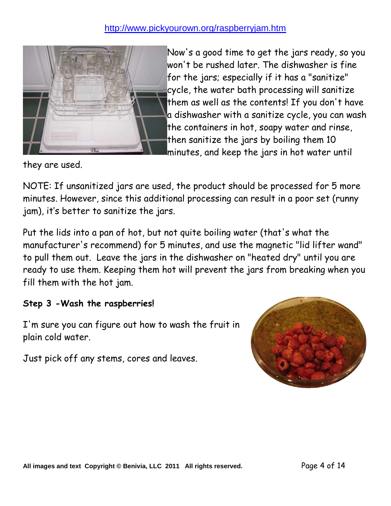

Now's a good time to get the jars ready, so you won't be rushed later. The dishwasher is fine for the jars; especially if it has a "sanitize" cycle, the water bath processing will sanitize them as well as the contents! If you don't have a dishwasher with a sanitize cycle, you can wash the containers in hot, soapy water and rinse, then sanitize the jars by boiling them 10 minutes, and keep the jars in hot water until

they are used.

NOTE: If unsanitized jars are used, the product should be processed for 5 more minutes. However, since this additional processing can result in a poor set (runny jam), it's better to sanitize the jars.

Put the lids into a pan of hot, but not quite boiling water (that's what the manufacturer's recommend) for 5 minutes, and use the magnetic "lid lifter wand" to pull them out. Leave the jars in the dishwasher on "heated dry" until you are ready to use them. Keeping them hot will prevent the jars from breaking when you fill them with the hot jam.

#### **Step 3 -Wash the raspberries!**

I'm sure you can figure out how to wash the fruit in plain cold water.

Just pick off any stems, cores and leaves.

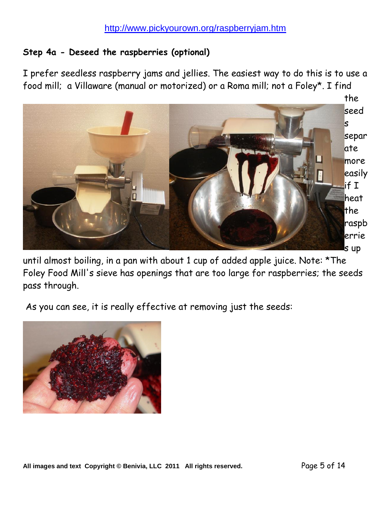#### **Step 4a - Deseed the raspberries (optional)**

I prefer seedless raspberry jams and jellies. The easiest way to do this is to use a food mill; a Villaware (manual or motorized) or a Roma mill; not a Foley\*. I find



until almost boiling, in a pan with about 1 cup of added apple juice. Note: \*The Foley Food Mill's sieve has openings that are too large for raspberries; the seeds pass through.

As you can see, it is really effective at removing just the seeds:

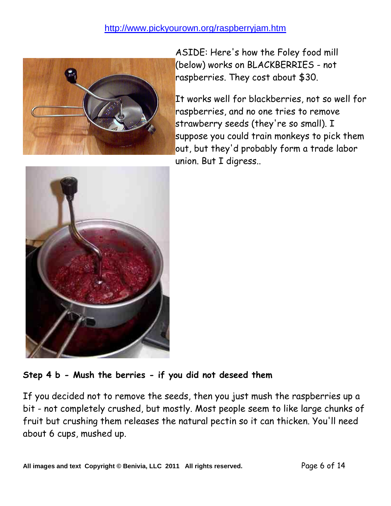

ASIDE: Here's how the Foley food mill (below) works on BLACKBERRIES - not raspberries. They cost about \$30.

It works well for blackberries, not so well for raspberries, and no one tries to remove strawberry seeds (they're so small). I suppose you could train monkeys to pick them out, but they'd probably form a trade labor union. But I digress..



#### **Step 4 b - Mush the berries - if you did not deseed them**

If you decided not to remove the seeds, then you just mush the raspberries up a bit - not completely crushed, but mostly. Most people seem to like large chunks of fruit but crushing them releases the natural pectin so it can thicken. You'll need about 6 cups, mushed up.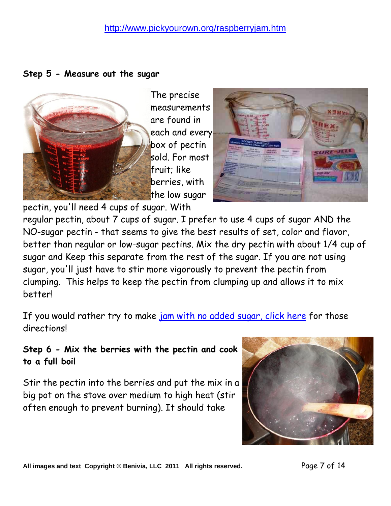**Step 5 - Measure out the sugar**



The precise measurements are found in each and every box of pectin sold. For most fruit; like berries, with the low sugar



pectin, you'll need 4 cups of sugar. With

regular pectin, about 7 cups of sugar. I prefer to use 4 cups of sugar AND the NO-sugar pectin - that seems to give the best results of set, color and flavor, better than regular or low-sugar pectins. Mix the dry pectin with about 1/4 cup of sugar and Keep this separate from the rest of the sugar. If you are not using sugar, you'll just have to stir more vigorously to prevent the pectin from clumping. This helps to keep the pectin from clumping up and allows it to mix better!

If you would rather try to make [jam with no added sugar, click here](http://www.pickyourown.org/jamnosugar.htm) for those directions!

#### **Step 6 - Mix the berries with the pectin and cook to a full boil**

Stir the pectin into the berries and put the mix in a big pot on the stove over medium to high heat (stir often enough to prevent burning). It should take



**All images and text Copyright © Benivia, LLC 2011 All rights reserved.** Page 7 of 14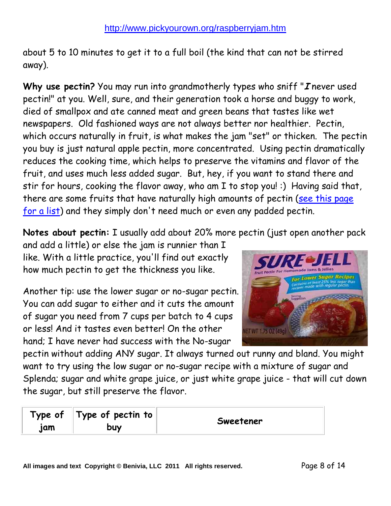about 5 to 10 minutes to get it to a full boil (the kind that can not be stirred away).

**Why use pectin?** You may run into grandmotherly types who sniff "**I** never used pectin!" at you. Well, sure, and their generation took a horse and buggy to work, died of smallpox and ate canned meat and green beans that tastes like wet newspapers. Old fashioned ways are not always better nor healthier. Pectin, which occurs naturally in fruit, is what makes the jam "set" or thicken. The pectin you buy is just natural apple pectin, more concentrated. Using pectin dramatically reduces the cooking time, which helps to preserve the vitamins and flavor of the fruit, and uses much less added sugar. But, hey, if you want to stand there and stir for hours, cooking the flavor away, who am I to stop you! :) Having said that, there are some fruits that have naturally high amounts of pectin (see this page [for a list\)](http://www.pickyourown.org/pectin.htm) and they simply don't need much or even any padded pectin.

**Notes about pectin:** I usually add about 20% more pectin (just open another pack

and add a little) or else the jam is runnier than I like. With a little practice, you'll find out exactly how much pectin to get the thickness you like.

Another tip: use the lower sugar or no-sugar pectin. You can add sugar to either and it cuts the amount of sugar you need from 7 cups per batch to 4 cups or less! And it tastes even better! On the other hand; I have never had success with the No-sugar



pectin without adding ANY sugar. It always turned out runny and bland. You might want to try using the low sugar or no-sugar recipe with a mixture of sugar and Splenda; sugar and white grape juice, or just white grape juice - that will cut down the sugar, but still preserve the flavor.

| Type of<br>jam | Type of pectin to<br>buy | Sweetener |
|----------------|--------------------------|-----------|
|----------------|--------------------------|-----------|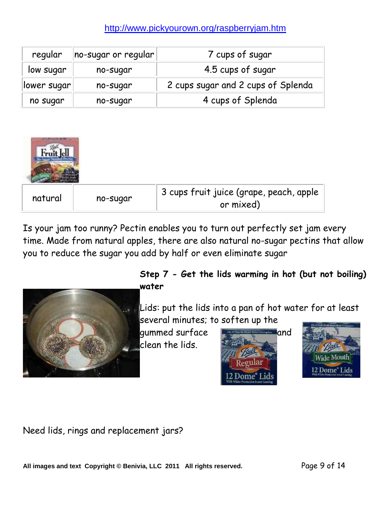| regular              | $ no-sugar$ or regular $ $ | 7 cups of sugar                    |  |
|----------------------|----------------------------|------------------------------------|--|
| low sugar            | no-sugar                   | 4.5 cups of sugar                  |  |
| lower sugar          | no-sugar                   | 2 cups sugar and 2 cups of Splenda |  |
| no sugar<br>no-sugar |                            | 4 cups of Splenda                  |  |



Is your jam too runny? Pectin enables you to turn out perfectly set jam every time. Made from natural apples, there are also natural no-sugar pectins that allow you to reduce the sugar you add by half or even eliminate sugar



#### **Step 7 - Get the lids warming in hot (but not boiling) water**

Lids: put the lids into a pan of hot water for at least several minutes; to soften up the

gummed surface **Fits All Regular Mason Home Canning Jars** and clean the lids.





Need lids, rings and replacement jars?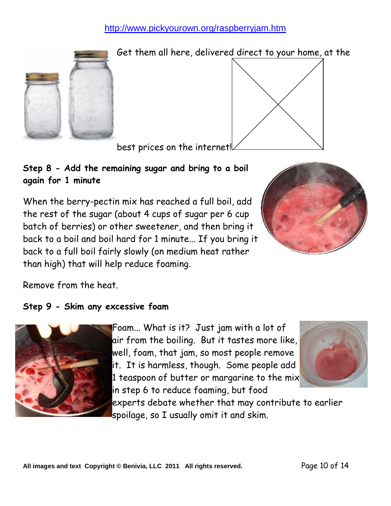

Get them all here, delivered direct to your home, at the

best prices on the internet!

**Step 8 - Add the remaining sugar and bring to a boil again for 1 minute**

When the berry-pectin mix has reached a full boil, add the rest of the sugar (about 4 cups of sugar per 6 cup batch of berries) or other sweetener, and then bring it back to a boil and boil hard for 1 minute... If you bring it back to a full boil fairly slowly (on medium heat rather than high) that will help reduce foaming.



Remove from the heat.

#### **Step 9 - Skim any excessive foam**



Foam... What is it? Just jam with a lot of air from the boiling. But it tastes more like, well, foam, that jam, so most people remove it. It is harmless, though. Some people add 1 teaspoon of butter or margarine to the mix in step 6 to reduce foaming, but food



experts debate whether that may contribute to earlier spoilage, so I usually omit it and skim.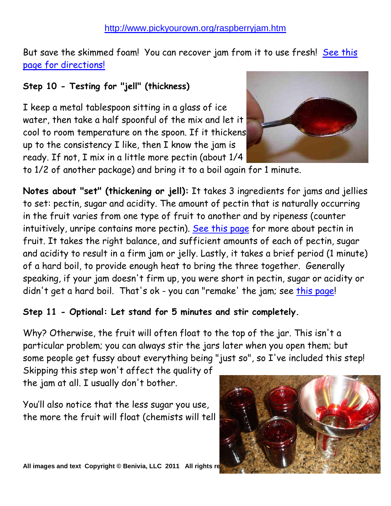But save the skimmed foam! You can recover jam from it to use fresh! [See this](http://www.pickyourown.org/foam.htm)  [page for directions!](http://www.pickyourown.org/foam.htm)

### **Step 10 - Testing for "jell" (thickness)**

I keep a metal tablespoon sitting in a glass of ice water, then take a half spoonful of the mix and let it cool to room temperature on the spoon. If it thickens up to the consistency I like, then I know the jam is ready. If not, I mix in a little more pectin (about 1/4



to 1/2 of another package) and bring it to a boil again for 1 minute.

**Notes about "set" (thickening or jell):** It takes 3 ingredients for jams and jellies to set: pectin, sugar and acidity. The amount of pectin that is naturally occurring in the fruit varies from one type of fruit to another and by ripeness (counter intuitively, unripe contains more pectin). [See this page](http://www.pickyourown.org/pectin.htm) for more about pectin in fruit. It takes the right balance, and sufficient amounts of each of pectin, sugar and acidity to result in a firm jam or jelly. Lastly, it takes a brief period (1 minute) of a hard boil, to provide enough heat to bring the three together. Generally speaking, if your jam doesn't firm up, you were short in pectin, sugar or acidity or didn't get a hard boil. That's ok - you can "remake' the jam; see [this page!](http://www.pickyourown.org/how_to_fix_runny_jam.htm)

#### **Step 11 - Optional: Let stand for 5 minutes and stir completely.**

Why? Otherwise, the fruit will often float to the top of the jar. This isn't a particular problem; you can always stir the jars later when you open them; but some people get fussy about everything being "just so", so I've included this step!

Skipping this step won't affect the quality of the jam at all. I usually don't bother.

You'll also notice that the less sugar you use, the more the fruit will float (chemists will tell

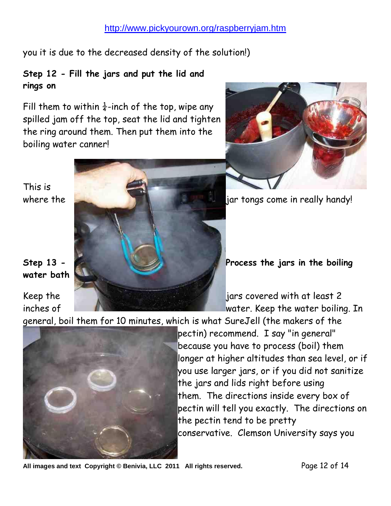you it is due to the decreased density of the solution!)

#### **Step 12 - Fill the jars and put the lid and rings on**

Fill them to within  $\frac{1}{4}$ -inch of the top, wipe any spilled jam off the top, seat the lid and tighten the ring around them. Then put them into the boiling water canner!



# **water bath**

This is



general, boil them for 10 minutes, which is what SureJell (the makers of the



pectin) recommend. I say "in general" because you have to process (boil) them longer at higher altitudes than sea level, or if you use larger jars, or if you did not sanitize the jars and lids right before using them. The directions inside every box of pectin will tell you exactly. The directions on the pectin tend to be pretty conservative. Clemson University says you

All images and text Copyright © Benivia, LLC 2011 All rights reserved. Page 12 of 14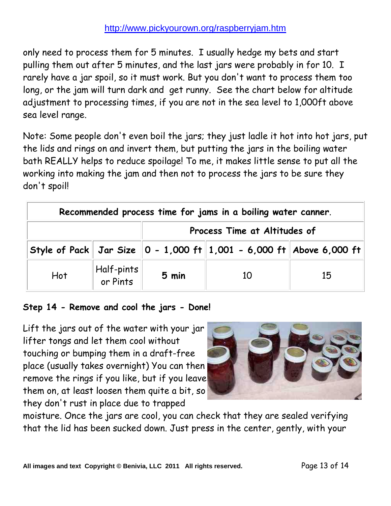only need to process them for 5 minutes. I usually hedge my bets and start pulling them out after 5 minutes, and the last jars were probably in for 10. I rarely have a jar spoil, so it must work. But you don't want to process them too long, or the jam will turn dark and get runny. See the chart below for altitude adjustment to processing times, if you are not in the sea level to 1,000ft above sea level range.

Note: Some people don't even boil the jars; they just ladle it hot into hot jars, put the lids and rings on and invert them, but putting the jars in the boiling water bath REALLY helps to reduce spoilage! To me, it makes little sense to put all the working into making the jam and then not to process the jars to be sure they don't spoil!

| Recommended process time for jams in a boiling water canner. |                                                                   |                              |                                                                                          |    |  |  |
|--------------------------------------------------------------|-------------------------------------------------------------------|------------------------------|------------------------------------------------------------------------------------------|----|--|--|
|                                                              |                                                                   | Process Time at Altitudes of |                                                                                          |    |  |  |
|                                                              |                                                                   |                              | Style of Pack   Jar Size $\ 0 - 1{,}000$ ft $\ 1{,}001 - 6{,}000$ ft $\ $ Above 6,000 ft |    |  |  |
| Hot                                                          | $\left\vert \frac{\text{Half-pints}}{\text{or Pints}}\right\vert$ | 5 min                        | 10                                                                                       | 15 |  |  |

#### **Step 14 - Remove and cool the jars - Done!**

Lift the jars out of the water with your jar lifter tongs and let them cool without touching or bumping them in a draft-free place (usually takes overnight) You can then remove the rings if you like, but if you leave them on, at least loosen them quite a bit, so they don't rust in place due to trapped



moisture. Once the jars are cool, you can check that they are sealed verifying that the lid has been sucked down. Just press in the center, gently, with your